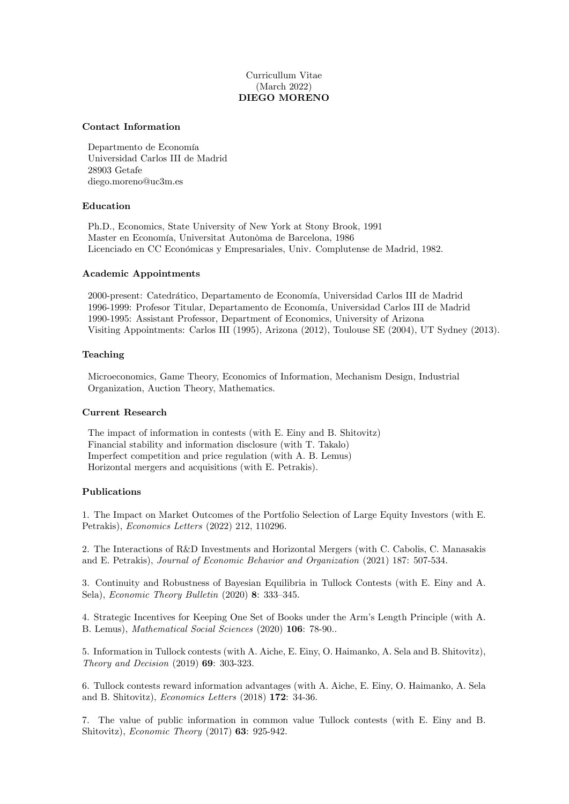# Curricullum Vitae (March 2022) DIEGO MORENO

## Contact Information

Departmento de Economía Universidad Carlos III de Madrid 28903 Getafe diego.moreno@uc3m.es

## Education

Ph.D., Economics, State University of New York at Stony Brook, 1991 Master en Economía, Universitat Autonòma de Barcelona, 1986 Licenciado en CC Económicas y Empresariales, Univ. Complutense de Madrid, 1982.

## Academic Appointments

2000-present: Catedrático, Departamento de Economía, Universidad Carlos III de Madrid 1996-1999: Profesor Titular, Departamento de Economía, Universidad Carlos III de Madrid 1990-1995: Assistant Professor, Department of Economics, University of Arizona Visiting Appointments: Carlos III (1995), Arizona (2012), Toulouse SE (2004), UT Sydney (2013).

#### Teaching

Microeconomics, Game Theory, Economics of Information, Mechanism Design, Industrial Organization, Auction Theory, Mathematics.

#### Current Research

The impact of information in contests (with E. Einy and B. Shitovitz) Financial stability and information disclosure (with T. Takalo) Imperfect competition and price regulation (with A. B. Lemus) Horizontal mergers and acquisitions (with E. Petrakis).

## Publications

1. The Impact on Market Outcomes of the Portfolio Selection of Large Equity Investors (with E. Petrakis), Economics Letters (2022) 212, 110296.

2. The Interactions of R&D Investments and Horizontal Mergers (with C. Cabolis, C. Manasakis and E. Petrakis), Journal of Economic Behavior and Organization (2021) 187: 507-534.

3. Continuity and Robustness of Bayesian Equilibria in Tullock Contests (with E. Einy and A. Sela), Economic Theory Bulletin  $(2020)$  8: 333-345.

4. Strategic Incentives for Keeping One Set of Books under the Armís Length Principle (with A. B. Lemus), Mathematical Social Sciences (2020) 106: 78-90..

5. Information in Tullock contests (with A. Aiche, E. Einy, O. Haimanko, A. Sela and B. Shitovitz), Theory and Decision (2019) 69: 303-323.

6. Tullock contests reward information advantages (with A. Aiche, E. Einy, O. Haimanko, A. Sela and B. Shitovitz), Economics Letters (2018) 172: 34-36.

7. The value of public information in common value Tullock contests (with E. Einy and B. Shitovitz), Economic Theory (2017) 63: 925-942.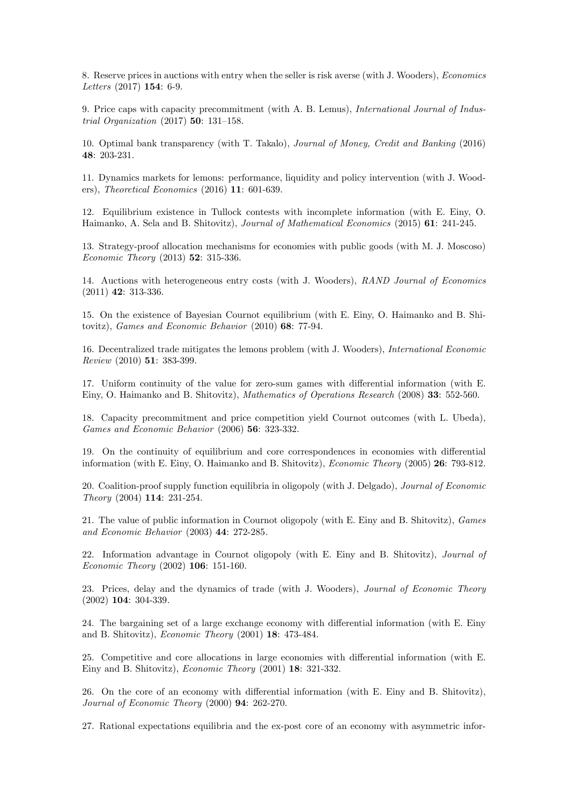8. Reserve prices in auctions with entry when the seller is risk averse (with J. Wooders), Economics Letters (2017) 154: 6-9.

9. Price caps with capacity precommitment (with A. B. Lemus), International Journal of Industrial Organization  $(2017)$  50: 131-158.

10. Optimal bank transparency (with T. Takalo), Journal of Money, Credit and Banking (2016) 48: 203-231.

11. Dynamics markets for lemons: performance, liquidity and policy intervention (with J. Wooders), Theoretical Economics (2016) 11: 601-639.

12. Equilibrium existence in Tullock contests with incomplete information (with E. Einy, O. Haimanko, A. Sela and B. Shitovitz), Journal of Mathematical Economics (2015) 61: 241-245.

13. Strategy-proof allocation mechanisms for economies with public goods (with M. J. Moscoso) Economic Theory (2013) 52: 315-336.

14. Auctions with heterogeneous entry costs (with J. Wooders), RAND Journal of Economics (2011) 42: 313-336.

15. On the existence of Bayesian Cournot equilibrium (with E. Einy, O. Haimanko and B. Shitovitz), Games and Economic Behavior (2010) 68: 77-94.

16. Decentralized trade mitigates the lemons problem (with J. Wooders), International Economic Review (2010) 51: 383-399.

17. Uniform continuity of the value for zero-sum games with differential information (with E. Einy, O. Haimanko and B. Shitovitz), Mathematics of Operations Research (2008) 33: 552-560.

18. Capacity precommitment and price competition yield Cournot outcomes (with L. Ubeda), Games and Economic Behavior (2006) 56: 323-332.

19. On the continuity of equilibrium and core correspondences in economies with differential information (with E. Einy, O. Haimanko and B. Shitovitz), Economic Theory (2005) 26: 793-812.

20. Coalition-proof supply function equilibria in oligopoly (with J. Delgado), Journal of Economic Theory (2004) 114: 231-254.

21. The value of public information in Cournot oligopoly (with E. Einy and B. Shitovitz), Games and Economic Behavior (2003) 44: 272-285.

22. Information advantage in Cournot oligopoly (with E. Einy and B. Shitovitz), Journal of Economic Theory (2002) 106: 151-160.

23. Prices, delay and the dynamics of trade (with J. Wooders), Journal of Economic Theory (2002) 104: 304-339.

24. The bargaining set of a large exchange economy with differential information (with E. Einy and B. Shitovitz), Economic Theory (2001) 18: 473-484.

25. Competitive and core allocations in large economies with differential information (with E. Einy and B. Shitovitz), Economic Theory (2001) 18: 321-332.

26. On the core of an economy with differential information (with E. Einy and B. Shitovitz), Journal of Economic Theory (2000) 94: 262-270.

27. Rational expectations equilibria and the ex-post core of an economy with asymmetric infor-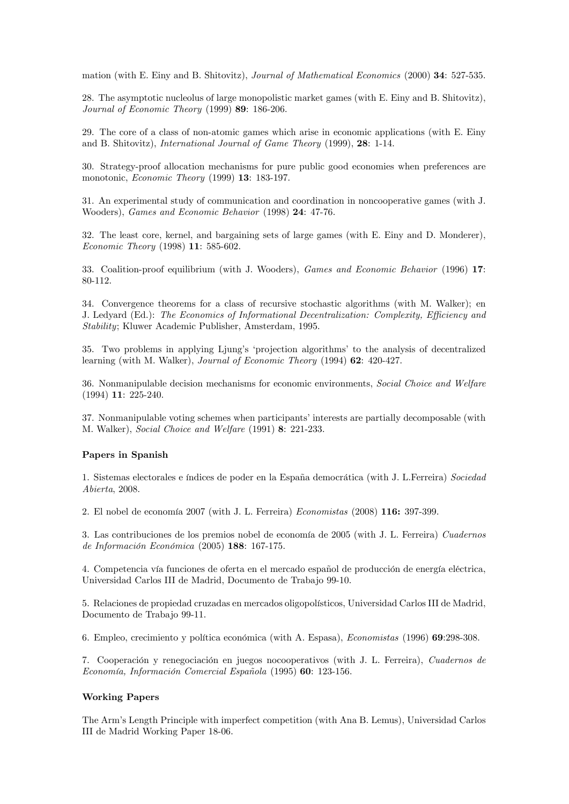mation (with E. Einy and B. Shitovitz), Journal of Mathematical Economics (2000) 34: 527-535.

28. The asymptotic nucleolus of large monopolistic market games (with E. Einy and B. Shitovitz), Journal of Economic Theory (1999) 89: 186-206.

29. The core of a class of non-atomic games which arise in economic applications (with E. Einy and B. Shitovitz), International Journal of Game Theory (1999), 28: 1-14.

30. Strategy-proof allocation mechanisms for pure public good economies when preferences are monotonic, Economic Theory (1999) 13: 183-197.

31. An experimental study of communication and coordination in noncooperative games (with J. Wooders), Games and Economic Behavior (1998) 24: 47-76.

32. The least core, kernel, and bargaining sets of large games (with E. Einy and D. Monderer), Economic Theory (1998) 11: 585-602.

33. Coalition-proof equilibrium (with J. Wooders), Games and Economic Behavior (1996) 17: 80-112.

34. Convergence theorems for a class of recursive stochastic algorithms (with M. Walker); en J. Ledyard (Ed.): The Economics of Informational Decentralization: Complexity, Efficiency and Stability; Kluwer Academic Publisher, Amsterdam, 1995.

35. Two problems in applying Ljung's 'projection algorithms' to the analysis of decentralized learning (with M. Walker), Journal of Economic Theory (1994) 62: 420-427.

36. Nonmanipulable decision mechanisms for economic environments, Social Choice and Welfare (1994) 11: 225-240.

37. Nonmanipulable voting schemes when participants' interests are partially decomposable (with M. Walker), Social Choice and Welfare (1991) 8: 221-233.

#### Papers in Spanish

1. Sistemas electorales e índices de poder en la España democrática (with J. L.Ferreira) Sociedad Abierta, 2008.

2. El nobel de economía  $2007$  (with J. L. Ferreira) *Economistas* (2008)  $116: 397-399$ .

3. Las contribuciones de los premios nobel de economía de 2005 (with J. L. Ferreira) Cuadernos de Información Económica (2005) 188: 167-175.

4. Competencia vía funciones de oferta en el mercado español de producción de energía eléctrica, Universidad Carlos III de Madrid, Documento de Trabajo 99-10.

5. Relaciones de propiedad cruzadas en mercados oligopolísticos, Universidad Carlos III de Madrid, Documento de Trabajo 99-11.

6. Empleo, crecimiento y política económica (with A. Espasa), *Economistas* (1996) 69:298-308.

7. Cooperación y renegociación en juegos nocooperativos (with J. L. Ferreira), Cuadernos de Economía, Información Comercial Española (1995) 60: 123-156.

### Working Papers

The Armís Length Principle with imperfect competition (with Ana B. Lemus), Universidad Carlos III de Madrid Working Paper 18-06.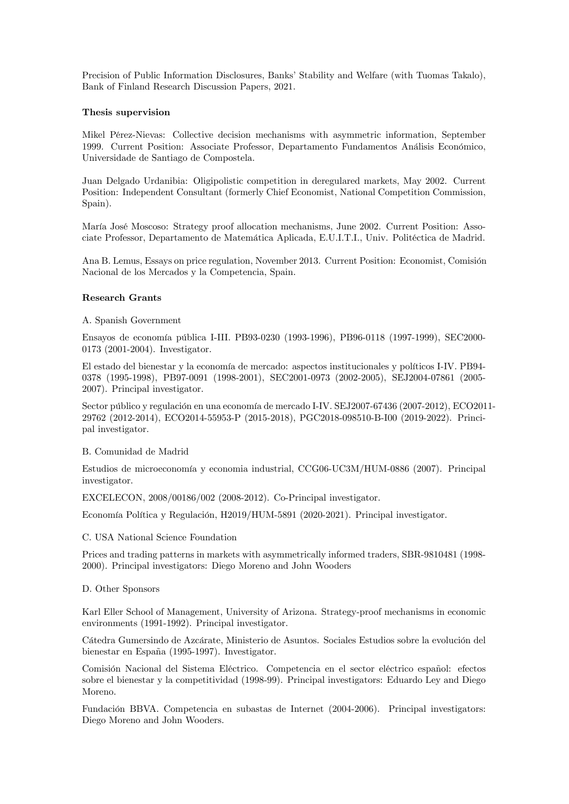Precision of Public Information Disclosures, Banks' Stability and Welfare (with Tuomas Takalo), Bank of Finland Research Discussion Papers, 2021.

#### Thesis supervision

Mikel PÈrez-Nievas: Collective decision mechanisms with asymmetric information, September 1999. Current Position: Associate Professor, Departamento Fundamentos Análisis Económico, Universidade de Santiago de Compostela.

Juan Delgado Urdanibia: Oligipolistic competition in deregulared markets, May 2002. Current Position: Independent Consultant (formerly Chief Economist, National Competition Commission, Spain).

María José Moscoso: Strategy proof allocation mechanisms, June 2002. Current Position: Associate Professor, Departamento de Matemática Aplicada, E.U.I.T.I., Univ. Politéctica de Madrid.

Ana B. Lemus, Essays on price regulation, November 2013. Current Position: Economist, Comisión Nacional de los Mercados y la Competencia, Spain.

## Research Grants

## A. Spanish Government

Ensayos de economÌa p˙blica I-III. PB93-0230 (1993-1996), PB96-0118 (1997-1999), SEC2000- 0173 (2001-2004). Investigator.

El estado del bienestar y la economía de mercado: aspectos institucionales y políticos I-IV. PB94-0378 (1995-1998), PB97-0091 (1998-2001), SEC2001-0973 (2002-2005), SEJ2004-07861 (2005- 2007). Principal investigator.

Sector público y regulación en una economía de mercado I-IV. SEJ2007-67436 (2007-2012), ECO2011-29762 (2012-2014), ECO2014-55953-P (2015-2018), PGC2018-098510-B-I00 (2019-2022). Principal investigator.

#### B. Comunidad de Madrid

Estudios de microeconomía y economia industrial, CCG06-UC3M/HUM-0886 (2007). Principal investigator.

EXCELECON, 2008/00186/002 (2008-2012). Co-Principal investigator.

Economía Política y Regulación, H2019/HUM-5891 (2020-2021). Principal investigator.

#### C. USA National Science Foundation

Prices and trading patterns in markets with asymmetrically informed traders, SBR-9810481 (1998- 2000). Principal investigators: Diego Moreno and John Wooders

#### D. Other Sponsors

Karl Eller School of Management, University of Arizona. Strategy-proof mechanisms in economic environments (1991-1992). Principal investigator.

Cátedra Gumersindo de Azcárate, Ministerio de Asuntos. Sociales Estudios sobre la evolución del bienestar en España (1995-1997). Investigator.

Comisión Nacional del Sistema Eléctrico. Competencia en el sector eléctrico español: efectos sobre el bienestar y la competitividad (1998-99). Principal investigators: Eduardo Ley and Diego Moreno.

Fundación BBVA. Competencia en subastas de Internet (2004-2006). Principal investigators: Diego Moreno and John Wooders.